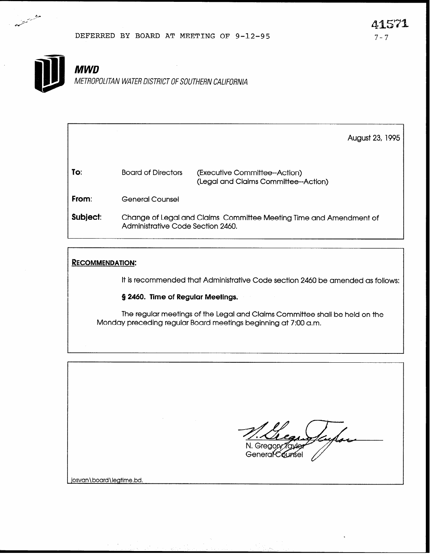### DEFERRED BY BOARD AT MEETING OF  $9-12-95$  7-7



متشمست مسيح

# **MWD**

METROPOLITAN WATER DISTRICT OF SOUTHERN CALIFORNIA

August 23, 1995

| To:   | <b>Board of Directors</b> | (Executive Committee--Action)<br>(Legal and Claims Committee--Action) |
|-------|---------------------------|-----------------------------------------------------------------------|
| From: | <b>General Counsel</b>    |                                                                       |

Subject: Change of Legal and Claims Committee Meeting Time and Amendment of Administrative Code Section 2460.

### **RECOMMENDATION:**

It is recommended that Administrative Code section 2460 be amended as follows:

§ 2460. Time of Regular Meetings.

The regular meetings of the Legal and Claims Committee shall be held on the Monday preceding regular Board meetings beginning at 7:00 a.m.

N. Gregopy

General Counsel

josvan\board\legtime.bd.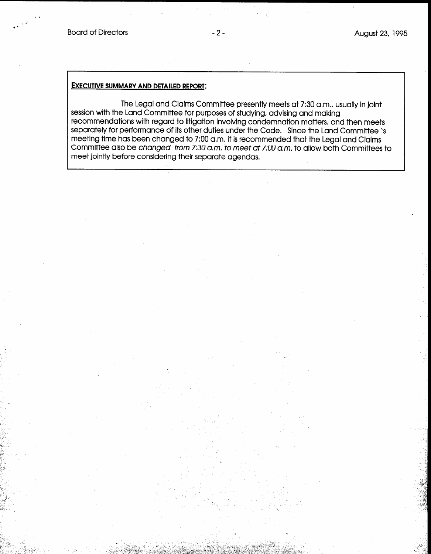+  $\sim$ \*

 $\sim$  i- $\sim$  $\sim$  . . .  $\mathcal{L} \subset \mathcal{L}_{\mathrm{max}}$ 

#### EXECUTIVE SUMMARY AND DETAILED REPORT:

The Legal and Claims Committee presently meets at 7:30 a.m., usually in joint session with the Land Committee for purposes of studying, advising and making recommendations with regard to litigation involving condemnation matters. and then meets separately for performance of its other duties under the Code. Since the Land Committee 's meeting time has been changed to 7:00 a.m. it is recommended that the Legal and Claims Committee also be changed from 7:30 a.m. to meet at 7:00 a.m. to allow both Committees to meet jointly before considering their separate agendas,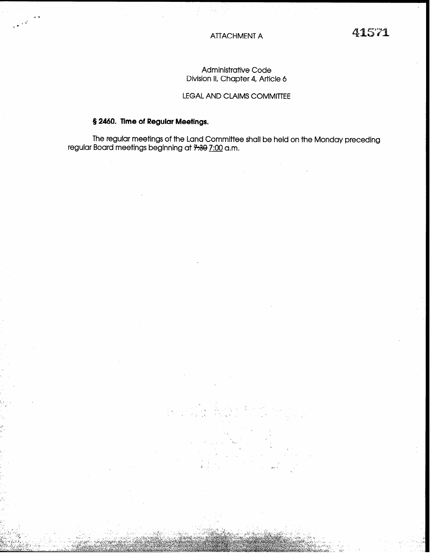### Administrative Code Division II, Chapter 4, Article 6

### LEGAL AND CLAIMS COMMITTEE

### 5 2460. Time of Regular Meetings.

 $\cdot$   $\cdot$ 

The regular meetings of the Land Committee shall be held on the Monday preceding regular Board meetings beginning at <del>7:30</del> <u>7:00</u> a.m.